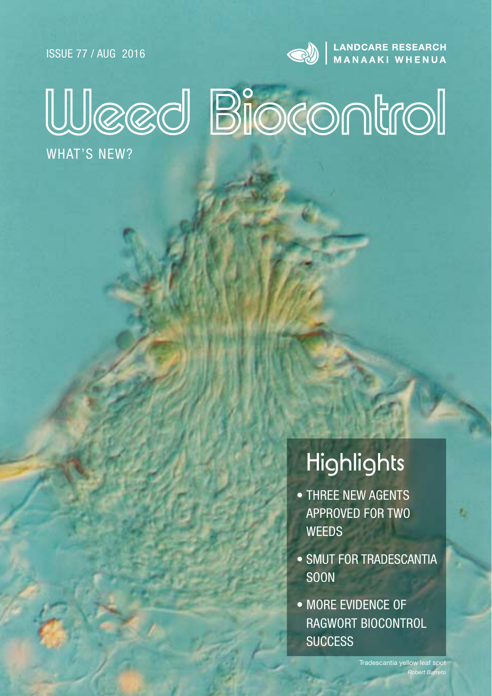ISSUE 77 / AUG 2016



**AND CARE RESEARCH** 

# Weed Biocontrol

WHAT'S NEW?

## **Highlights**

- THREE NEW AGENTS APPROVED FOR TWO **WFFDS**
- SMUT FOR TRADESCANTIA **SOON**
- MORE EVIDENCE OF RAGWORT BIOCONTROL **SUCCESS**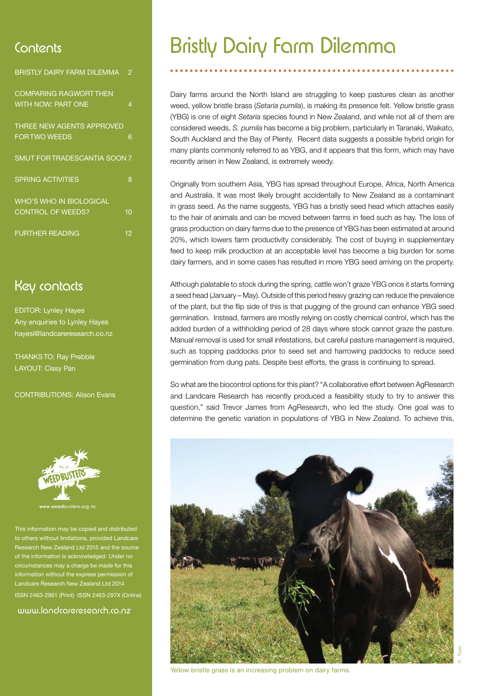| BRISTLY DAIRY FARM DILEMMA                                 | 2  |
|------------------------------------------------------------|----|
| <b>COMPARING RAGWORT THEN</b><br><b>WITH NOW: PART ONE</b> | 4  |
| THREE NEW AGENTS APPROVED<br><b>FOR TWO WEEDS</b>          | 6  |
| SMUT FOR TRADESCANTIA SOON 7                               |    |
| <b>SPRING ACTIVITIES</b>                                   | 8  |
| <b>WHO'S WHO IN BIOLOGICAL</b><br><b>CONTROL OF WEEDS?</b> | 10 |
| <b>FURTHER READING</b>                                     | 12 |

### Key contacts

EDITOR: Lynley Hayes Any enquiries to Lynley Hayes hayesl@landcareresearch.co.nz

THANKS TO: Ray Prebble LAYOUT: Cissy Pan

CONTRIBUTIONS: Alison Evans



This information may be copied and distributed others without limitations, provided Landcare ch New Zealand Ltd 2015 and the source of the information is acknowledged. Under no ces may a charge be made for t ation without the express permis Landcare Research New Zealand Ltd 2014 ISSN 2463-2961 (Print) ISSN 2463-297X (Online)

www.landcareresearch.co.nz

### Contents Bristly Dairy Farm Dilemma

Dairy farms around the North Island are struggling to keep pastures clean as another weed, yellow bristle brass (*Setaria pumila*), is making its presence felt. Yellow bristle grass (YBG) is one of eight *Setaria* species found in New Zealand, and while not all of them are considered weeds, *S. pumila* has become a big problem, particularly in Taranaki, Waikato, South Auckland and the Bay of Plenty. Recent data suggests a possible hybrid origin for many plants commonly referred to as YBG, and it appears that this form, which may have recently arisen in New Zealand, is extremely weedy.

Originally from southern Asia, YBG has spread throughout Europe, Africa, North America and Australia. It was most likely brought accidentally to New Zealand as a contaminant in grass seed. As the name suggests, YBG has a bristly seed head which attaches easily to the hair of animals and can be moved between farms in feed such as hay. The loss of grass production on dairy farms due to the presence of YBG has been estimated at around 20%, which lowers farm productivity considerably. The cost of buying in supplementary feed to keep milk production at an acceptable level has become a big burden for some dairy farmers, and in some cases has resulted in more YBG seed arriving on the property.

Although palatable to stock during the spring, cattle won't graze YBG once it starts forming a seed head (January – May). Outside of this period heavy grazing can reduce the prevalence of the plant, but the flip side of this is that pugging of the ground can enhance YBG seed germination. Instead, farmers are mostly relying on costly chemical control, which has the added burden of a withholding period of 28 days where stock cannot graze the pasture. Manual removal is used for small infestations, but careful pasture management is required, such as topping paddocks prior to seed set and harrowing paddocks to reduce seed germination from dung pats. Despite best efforts, the grass is continuing to spread.

So what are the biocontrol options for this plant? "A collaborative effort between AgResearch and Landcare Research has recently produced a feasibility study to try to answer this question," said Trevor James from AgResearch, who led the study. One goal was to determine the genetic variation in populations of YBG in New Zealand. To achieve this,



Yellow bristle grass is an increasing problem on dairy farms.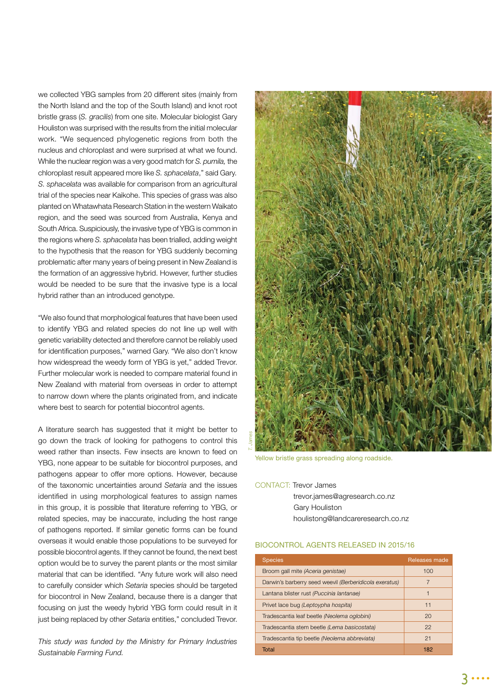we collected YBG samples from 20 different sites (mainly from the North Island and the top of the South Island) and knot root bristle grass (*S. gracilis*) from one site. Molecular biologist Gary Houliston was surprised with the results from the initial molecular work. "We sequenced phylogenetic regions from both the nucleus and chloroplast and were surprised at what we found. While the nuclear region was a very good match for *S. pumila,* the chloroplast result appeared more like *S. sphacelata*," said Gary*. S. sphacelata* was available for comparison from an agricultural trial of the species near Kaikohe. This species of grass was also planted on Whatawhata Research Station in the western Waikato region, and the seed was sourced from Australia, Kenya and South Africa. Suspiciously, the invasive type of YBG is common in the regions where *S. sphacelata* has been trialled, adding weight to the hypothesis that the reason for YBG suddenly becoming problematic after many years of being present in New Zealand is the formation of an aggressive hybrid. However, further studies would be needed to be sure that the invasive type is a local hybrid rather than an introduced genotype.

"We also found that morphological features that have been used to identify YBG and related species do not line up well with genetic variability detected and therefore cannot be reliably used for identification purposes," warned Gary. "We also don't know how widespread the weedy form of YBG is yet," added Trevor. Further molecular work is needed to compare material found in New Zealand with material from overseas in order to attempt to narrow down where the plants originated from, and indicate where best to search for potential biocontrol agents.

A literature search has suggested that it might be better to go down the track of looking for pathogens to control this weed rather than insects. Few insects are known to feed on YBG, none appear to be suitable for biocontrol purposes, and pathogens appear to offer more options. However, because of the taxonomic uncertainties around *Setaria* and the issues identified in using morphological features to assign names in this group, it is possible that literature referring to YBG, or related species, may be inaccurate, including the host range of pathogens reported. If similar genetic forms can be found overseas it would enable those populations to be surveyed for possible biocontrol agents. If they cannot be found, the next best option would be to survey the parent plants or the most similar material that can be identified. "Any future work will also need to carefully consider which *Setaria* species should be targeted for biocontrol in New Zealand, because there is a danger that focusing on just the weedy hybrid YBG form could result in it just being replaced by other *Setaria* entities," concluded Trevor.

*This study was funded by the Ministry for Primary Industries Sustainable Farming Fund.*



Yellow bristle grass spreading along roadside.

CONTACT: Trevor James trevor.james@agresearch.co.nz Gary Houliston houlistong@landcareresearch.co.nz

#### BIOCONTROL AGENTS RELEASED IN 2015/16

| <b>Species</b>                                         | Releases made |
|--------------------------------------------------------|---------------|
| Broom gall mite (Aceria genistae)                      | 100           |
| Darwin's barberry seed weevil (Berberidicola exeratus) | 7             |
| Lantana blister rust (Puccinia lantanae)               | 1             |
| Privet lace bug (Leptoypha hospita)                    | 11            |
| Tradescantia leaf beetle (Neolema oglobini)            | 20            |
| Tradescantia stem beetle (Lema basicostata)            | 22            |
| Tradescantia tip beetle (Neolema abbreviata)           | 21            |
| Total                                                  | 182           |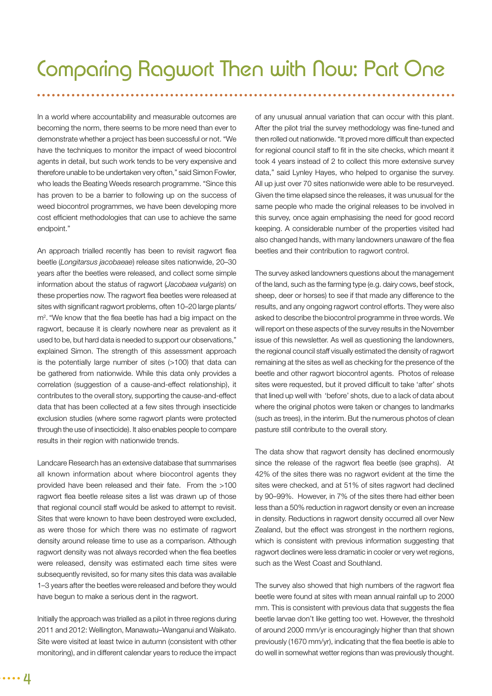In a world where accountability and measurable outcomes are becoming the norm, there seems to be more need than ever to demonstrate whether a project has been successful or not. "We have the techniques to monitor the impact of weed biocontrol agents in detail, but such work tends to be very expensive and therefore unable to be undertaken very often," said Simon Fowler, who leads the Beating Weeds research programme. "Since this has proven to be a barrier to following up on the success of weed biocontrol programmes, we have been developing more cost efficient methodologies that can use to achieve the same endpoint."

An approach trialled recently has been to revisit ragwort flea beetle (*Longitarsus jacobaeae*) release sites nationwide, 20–30 years after the beetles were released, and collect some simple information about the status of ragwort (*Jacobaea vulgaris*) on these properties now. The ragwort flea beetles were released at sites with significant ragwort problems, often 10-20 large plants/ m<sup>2</sup>. "We know that the flea beetle has had a big impact on the ragwort, because it is clearly nowhere near as prevalent as it used to be, but hard data is needed to support our observations," explained Simon. The strength of this assessment approach is the potentially large number of sites (>100) that data can be gathered from nationwide. While this data only provides a correlation (suggestion of a cause-and-effect relationship), it contributes to the overall story, supporting the cause-and-effect data that has been collected at a few sites through insecticide exclusion studies (where some ragwort plants were protected through the use of insecticide). It also enables people to compare results in their region with nationwide trends.

Landcare Research has an extensive database that summarises all known information about where biocontrol agents they provided have been released and their fate. From the >100 ragwort flea beetle release sites a list was drawn up of those that regional council staff would be asked to attempt to revisit. Sites that were known to have been destroyed were excluded, as were those for which there was no estimate of ragwort density around release time to use as a comparison. Although ragwort density was not always recorded when the flea beetles were released, density was estimated each time sites were subsequently revisited, so for many sites this data was available 1–3 years after the beetles were released and before they would have begun to make a serious dent in the ragwort.

Initially the approach was trialled as a pilot in three regions during 2011 and 2012: Wellington, Manawatu–Wanganui and Waikato. Site were visited at least twice in autumn (consistent with other monitoring), and in different calendar years to reduce the impact of any unusual annual variation that can occur with this plant. After the pilot trial the survey methodology was fine-tuned and then rolled out nationwide. "It proved more difficult than expected for regional council staff to fit in the site checks, which meant it took 4 years instead of 2 to collect this more extensive survey data," said Lynley Hayes, who helped to organise the survey. All up just over 70 sites nationwide were able to be resurveyed. Given the time elapsed since the releases, it was unusual for the same people who made the original releases to be involved in this survey, once again emphasising the need for good record keeping. A considerable number of the properties visited had also changed hands, with many landowners unaware of the flea beetles and their contribution to ragwort control.

The survey asked landowners questions about the management of the land, such as the farming type (e.g. dairy cows, beef stock, sheep, deer or horses) to see if that made any difference to the results, and any ongoing ragwort control efforts. They were also asked to describe the biocontrol programme in three words. We will report on these aspects of the survey results in the November issue of this newsletter. As well as questioning the landowners, the regional council staff visually estimated the density of ragwort remaining at the sites as well as checking for the presence of the beetle and other ragwort biocontrol agents. Photos of release sites were requested, but it proved difficult to take 'after' shots that lined up well with 'before' shots, due to a lack of data about where the original photos were taken or changes to landmarks (such as trees), in the interim. But the numerous photos of clean pasture still contribute to the overall story.

The data show that ragwort density has declined enormously since the release of the ragwort flea beetle (see graphs). At 42% of the sites there was no ragwort evident at the time the sites were checked, and at 51% of sites ragwort had declined by 90–99%. However, in 7% of the sites there had either been less than a 50% reduction in ragwort density or even an increase in density. Reductions in ragwort density occurred all over New Zealand, but the effect was strongest in the northern regions, which is consistent with previous information suggesting that ragwort declines were less dramatic in cooler or very wet regions, such as the West Coast and Southland.

The survey also showed that high numbers of the ragwort flea beetle were found at sites with mean annual rainfall up to 2000 mm. This is consistent with previous data that suggests the flea beetle larvae don't like getting too wet. However, the threshold of around 2000 mm/yr is encouragingly higher than that shown previously (1670 mm/yr), indicating that the flea beetle is able to do well in somewhat wetter regions than was previously thought.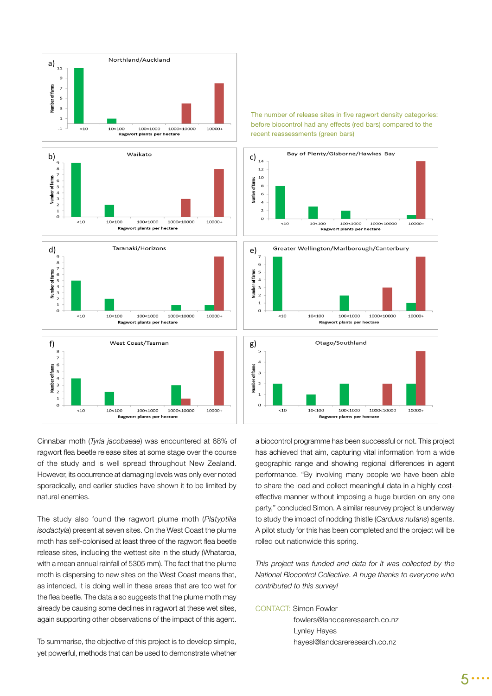







The number of release sites in five ragwort density categories: before biocontrol had any effects (red bars) compared to the recent reassessments (green bars)



Cinnabar moth (*Tyria jacobaeae*) was encountered at 68% of ragwort flea beetle release sites at some stage over the course of the study and is well spread throughout New Zealand. However, its occurrence at damaging levels was only ever noted sporadically, and earlier studies have shown it to be limited by natural enemies.

The study also found the ragwort plume moth (*Platyptilia isodactyla*) present at seven sites. On the West Coast the plume moth has self-colonised at least three of the ragwort flea beetle release sites, including the wettest site in the study (Whataroa, with a mean annual rainfall of 5305 mm). The fact that the plume moth is dispersing to new sites on the West Coast means that, as intended, it is doing well in these areas that are too wet for the flea beetle. The data also suggests that the plume moth may already be causing some declines in ragwort at these wet sites, again supporting other observations of the impact of this agent.

To summarise, the objective of this project is to develop simple, yet powerful, methods that can be used to demonstrate whether

a biocontrol programme has been successful or not. This project has achieved that aim, capturing vital information from a wide geographic range and showing regional differences in agent performance. "By involving many people we have been able to share the load and collect meaningful data in a highly costeffective manner without imposing a huge burden on any one party," concluded Simon. A similar resurvey project is underway to study the impact of nodding thistle (*Carduus nutans*) agents. A pilot study for this has been completed and the project will be rolled out nationwide this spring.

*This project was funded and data for it was collected by the National Biocontrol Collective*. *A huge thanks to everyone who contributed to this survey!*

CONTACT: Simon Fowler

 fowlers@landcareresearch.co.nz Lynley Hayes hayesl@landcareresearch.co.nz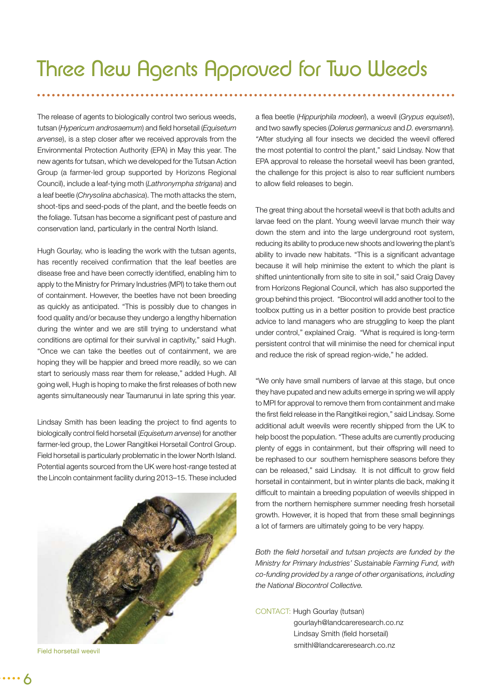The release of agents to biologically control two serious weeds, tutsan (*Hypericum androsaemum*) and field horsetail (*Equisetum arvense*), is a step closer after we received approvals from the Environmental Protection Authority (EPA) in May this year. The new agents for tutsan, which we developed for the Tutsan Action Group (a farmer-led group supported by Horizons Regional Council), include a leaf-tying moth (*Lathronympha strigana*) and a leaf beetle (*Chrysolina abchasica*). The moth attacks the stem, shoot-tips and seed-pods of the plant, and the beetle feeds on the foliage. Tutsan has become a significant pest of pasture and conservation land, particularly in the central North Island.

Hugh Gourlay, who is leading the work with the tutsan agents, has recently received confirmation that the leaf beetles are disease free and have been correctly identified, enabling him to apply to the Ministry for Primary Industries (MPI) to take them out of containment. However, the beetles have not been breeding as quickly as anticipated. "This is possibly due to changes in food quality and/or because they undergo a lengthy hibernation during the winter and we are still trying to understand what conditions are optimal for their survival in captivity," said Hugh. "Once we can take the beetles out of containment, we are hoping they will be happier and breed more readily, so we can start to seriously mass rear them for release," added Hugh. All going well, Hugh is hoping to make the first releases of both new agents simultaneously near Taumarunui in late spring this year.

Lindsay Smith has been leading the project to find agents to biologically control field horsetail (*Equisetum arvense*) for another farmer-led group, the Lower Rangitikei Horsetail Control Group. Field horsetail is particularly problematic in the lower North Island. Potential agents sourced from the UK were host-range tested at the Lincoln containment facility during 2013–15. These included



```
Field horsetail weevil
```
a fl ea beetle (*Hippuriphila modeeri*), a weevil (*Grypus equiseti*), and two sawfly species (*Dolerus germanicus* and *D. eversmanni*). *"*After studying all four insects we decided the weevil offered the most potential to control the plant," said Lindsay. Now that EPA approval to release the horsetail weevil has been granted, the challenge for this project is also to rear sufficient numbers to allow field releases to begin.

The great thing about the horsetail weevil is that both adults and larvae feed on the plant. Young weevil larvae munch their way down the stem and into the large underground root system, reducing its ability to produce new shoots and lowering the plant's ability to invade new habitats. "This is a significant advantage because it will help minimise the extent to which the plant is shifted unintentionally from site to site in soil," said Craig Davey from Horizons Regional Council, which has also supported the group behind this project. "Biocontrol will add another tool to the toolbox putting us in a better position to provide best practice advice to land managers who are struggling to keep the plant under control," explained Craig. "What is required is long-term persistent control that will minimise the need for chemical input and reduce the risk of spread region-wide," he added.

"We only have small numbers of larvae at this stage, but once they have pupated and new adults emerge in spring we will apply to MPI for approval to remove them from containment and make the first field release in the Rangitikei region," said Lindsay. Some additional adult weevils were recently shipped from the UK to help boost the population. "These adults are currently producing plenty of eggs in containment, but their offspring will need to be rephased to our southern hemisphere seasons before they can be released," said Lindsay. It is not difficult to grow field horsetail in containment, but in winter plants die back, making it difficult to maintain a breeding population of weevils shipped in from the northern hemisphere summer needing fresh horsetail growth. However, it is hoped that from these small beginnings a lot of farmers are ultimately going to be very happy.

Both the field horsetail and tutsan projects are funded by the *Ministry for Primary Industries' Sustainable Farming Fund, with co-funding provided by a range of other organisations, including the National Biocontrol Collective.* 

CONTACT: Hugh Gourlay (tutsan) gourlayh@landcareresearch.co.nz Lindsay Smith (field horsetail) smithl@landcareresearch.co.nz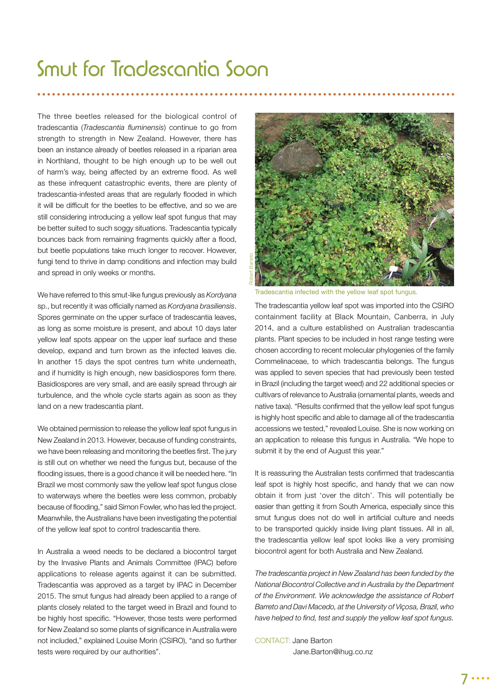### Smut for Tradescantia Soon

The three beetles released for the biological control of tradescantia (*Tradescantia fluminensis*) continue to go from strength to strength in New Zealand. However, there has been an instance already of beetles released in a riparian area in Northland, thought to be high enough up to be well out of harm's way, being affected by an extreme flood. As well as these infrequent catastrophic events, there are plenty of tradescantia-infested areas that are regularly flooded in which it will be difficult for the beetles to be effective, and so we are still considering introducing a yellow leaf spot fungus that may be better suited to such soggy situations. Tradescantia typically bounces back from remaining fragments quickly after a flood, but beetle populations take much longer to recover. However, fungi tend to thrive in damp conditions and infection may build and spread in only weeks or months.

We have referred to this smut-like fungus previously as *Kordyana* sp., but recently it was officially named as *Kordyana brasiliensis*. Spores germinate on the upper surface of tradescantia leaves, as long as some moisture is present, and about 10 days later yellow leaf spots appear on the upper leaf surface and these develop, expand and turn brown as the infected leaves die. In another 15 days the spot centres turn white underneath, and if humidity is high enough, new basidiospores form there. Basidiospores are very small, and are easily spread through air turbulence, and the whole cycle starts again as soon as they land on a new tradescantia plant.

We obtained permission to release the yellow leaf spot fungus in New Zealand in 2013. However, because of funding constraints, we have been releasing and monitoring the beetles first. The jury is still out on whether we need the fungus but, because of the flooding issues, there is a good chance it will be needed here. "In Brazil we most commonly saw the yellow leaf spot fungus close to waterways where the beetles were less common, probably because of flooding," said Simon Fowler, who has led the project. Meanwhile, the Australians have been investigating the potential of the yellow leaf spot to control tradescantia there.

In Australia a weed needs to be declared a biocontrol target by the Invasive Plants and Animals Committee (IPAC) before applications to release agents against it can be submitted. Tradescantia was approved as a target by IPAC in December 2015. The smut fungus had already been applied to a range of plants closely related to the target weed in Brazil and found to be highly host specific. "However, those tests were performed for New Zealand so some plants of significance in Australia were not included," explained Louise Morin (CSIRO), "and so further tests were required by our authorities".



Tradescantia infected with the yellow leaf spot fungus.

The tradescantia yellow leaf spot was imported into the CSIRO containment facility at Black Mountain, Canberra, in July 2014, and a culture established on Australian tradescantia plants. Plant species to be included in host range testing were chosen according to recent molecular phylogenies of the family Commelinaceae, to which tradescantia belongs. The fungus was applied to seven species that had previously been tested in Brazil (including the target weed) and 22 additional species or cultivars of relevance to Australia (ornamental plants, weeds and native taxa). "Results confirmed that the yellow leaf spot fungus is highly host specific and able to damage all of the tradescantia accessions we tested," revealed Louise. She is now working on an application to release this fungus in Australia. "We hope to submit it by the end of August this year."

It is reassuring the Australian tests confirmed that tradescantia leaf spot is highly host specific, and handy that we can now obtain it from just 'over the ditch'. This will potentially be easier than getting it from South America, especially since this smut fungus does not do well in artificial culture and needs to be transported quickly inside living plant tissues. All in all, the tradescantia yellow leaf spot looks like a very promising biocontrol agent for both Australia and New Zealand.

*The tradescantia project in New Zealand has been funded by the National Biocontrol Collective and in Australia by the Department of the Environment. We acknowledge the assistance of Robert Barreto and Davi Macedo, at the University of Viçosa, Brazil, who*  have helped to find, test and supply the yellow leaf spot fungus.

### CONTACT: Jane Barton

Jane.Barton@ihug.co.nz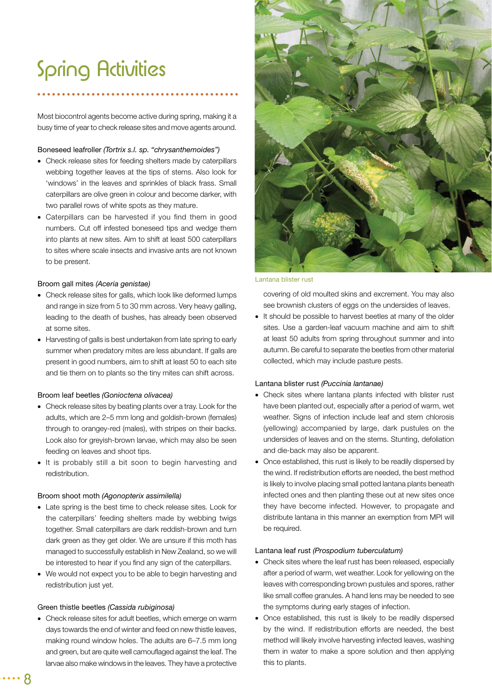### Spring Activities

Most biocontrol agents become active during spring, making it a busy time of year to check release sites and move agents around.

#### Boneseed leafroller *(Tortrix s.l. sp. "chrysanthemoides")*

- Check release sites for feeding shelters made by caterpillars webbing together leaves at the tips of stems. Also look for 'windows' in the leaves and sprinkles of black frass. Small caterpillars are olive green in colour and become darker, with two parallel rows of white spots as they mature.
- Caterpillars can be harvested if you find them in good numbers. Cut off infested boneseed tips and wedge them into plants at new sites. Aim to shift at least 500 caterpillars to sites where scale insects and invasive ants are not known to be present.

#### Broom gall mites *(Aceria genistae)*

- Check release sites for galls, which look like deformed lumps and range in size from 5 to 30 mm across. Very heavy galling, leading to the death of bushes, has already been observed at some sites.
- Harvesting of galls is best undertaken from late spring to early summer when predatory mites are less abundant. If galls are present in good numbers, aim to shift at least 50 to each site and tie them on to plants so the tiny mites can shift across.

#### Broom leaf beetles *(Gonioctena olivacea)*

- Check release sites by beating plants over a tray. Look for the adults, which are 2–5 mm long and goldish-brown (females) through to orangey-red (males), with stripes on their backs. Look also for greyish-brown larvae, which may also be seen feeding on leaves and shoot tips.
- It is probably still a bit soon to begin harvesting and redistribution.

#### Broom shoot moth *(Agonopterix assimilella)*

- Late spring is the best time to check release sites. Look for the caterpillars' feeding shelters made by webbing twigs together. Small caterpillars are dark reddish-brown and turn dark green as they get older. We are unsure if this moth has managed to successfully establish in New Zealand, so we will be interested to hear if you find any sign of the caterpillars.
- We would not expect you to be able to begin harvesting and redistribution just vet.

#### Green thistle beetles *(Cassida rubiginosa)*

 Check release sites for adult beetles, which emerge on warm days towards the end of winter and feed on new thistle leaves, making round window holes. The adults are 6–7.5 mm long and green, but are quite well camouflaged against the leaf. The larvae also make windows in the leaves. They have a protective



#### Lantana blister rust

covering of old moulted skins and excrement. You may also see brownish clusters of eggs on the undersides of leaves.

• It should be possible to harvest beetles at many of the older sites. Use a garden-leaf vacuum machine and aim to shift at least 50 adults from spring throughout summer and into autumn. Be careful to separate the beetles from other material collected, which may include pasture pests.

#### Lantana blister rust *(Puccinia lantanae)*

- Check sites where lantana plants infected with blister rust have been planted out, especially after a period of warm, wet weather. Signs of infection include leaf and stem chlorosis (yellowing) accompanied by large, dark pustules on the undersides of leaves and on the stems. Stunting, defoliation and die-back may also be apparent.
- Once established, this rust is likely to be readily dispersed by the wind. If redistribution efforts are needed, the best method is likely to involve placing small potted lantana plants beneath infected ones and then planting these out at new sites once they have become infected. However, to propagate and distribute lantana in this manner an exemption from MPI will be required.

#### Lantana leaf rust *(Prospodium tuberculatum)*

- Check sites where the leaf rust has been released, especially after a period of warm, wet weather. Look for yellowing on the leaves with corresponding brown pustules and spores, rather like small coffee granules. A hand lens may be needed to see the symptoms during early stages of infection.
- Once established, this rust is likely to be readily dispersed by the wind. If redistribution efforts are needed, the best method will likely involve harvesting infected leaves, washing them in water to make a spore solution and then applying this to plants.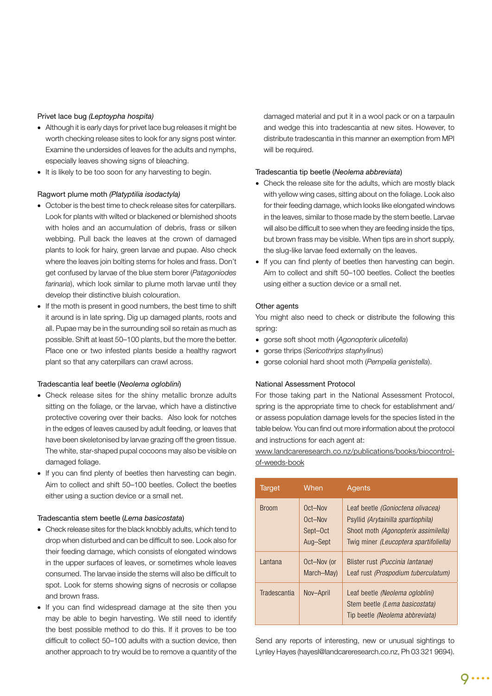#### Privet lace bug *(Leptoypha hospita)*

- Although it is early days for privet lace bug releases it might be worth checking release sites to look for any signs post winter. Examine the undersides of leaves for the adults and nymphs, especially leaves showing signs of bleaching.
- It is likely to be too soon for any harvesting to begin.

#### Ragwort plume moth *(Platyptilia isodactyla)*

- October is the best time to check release sites for caterpillars. Look for plants with wilted or blackened or blemished shoots with holes and an accumulation of debris, frass or silken webbing. Pull back the leaves at the crown of damaged plants to look for hairy, green larvae and pupae. Also check where the leaves join bolting stems for holes and frass. Don't get confused by larvae of the blue stem borer (*Patagoniodes farinaria*), which look similar to plume moth larvae until they develop their distinctive bluish colouration.
- If the moth is present in good numbers, the best time to shift it around is in late spring. Dig up damaged plants, roots and all. Pupae may be in the surrounding soil so retain as much as possible. Shift at least 50–100 plants, but the more the better. Place one or two infested plants beside a healthy ragwort plant so that any caterpillars can crawl across.

#### Tradescantia leaf beetle (*Neolema ogloblini*)

- Check release sites for the shiny metallic bronze adults sitting on the foliage, or the larvae, which have a distinctive protective covering over their backs. Also look for notches in the edges of leaves caused by adult feeding, or leaves that have been skeletonised by larvae grazing off the green tissue. The white, star-shaped pupal cocoons may also be visible on damaged foliage.
- If you can find plenty of beetles then harvesting can begin. Aim to collect and shift 50–100 beetles. Collect the beetles either using a suction device or a small net.

#### Tradescantia stem beetle (*Lema basicostata*)

- Check release sites for the black knobbly adults, which tend to drop when disturbed and can be difficult to see. Look also for their feeding damage, which consists of elongated windows in the upper surfaces of leaves, or sometimes whole leaves consumed. The larvae inside the stems will also be difficult to spot. Look for stems showing signs of necrosis or collapse and brown frass.
- If you can find widespread damage at the site then you may be able to begin harvesting. We still need to identify the best possible method to do this. If it proves to be too difficult to collect 50-100 adults with a suction device, then another approach to try would be to remove a quantity of the

damaged material and put it in a wool pack or on a tarpaulin and wedge this into tradescantia at new sites. However, to distribute tradescantia in this manner an exemption from MPI will be required.

#### Tradescantia tip beetle (*Neolema abbreviata*)

- Check the release site for the adults, which are mostly black with yellow wing cases, sitting about on the foliage. Look also for their feeding damage, which looks like elongated windows in the leaves, similar to those made by the stem beetle. Larvae will also be difficult to see when they are feeding inside the tips, but brown frass may be visible. When tips are in short supply, the slug-like larvae feed externally on the leaves.
- If you can find plenty of beetles then harvesting can begin. Aim to collect and shift 50–100 beetles. Collect the beetles using either a suction device or a small net.

#### Other agents

You might also need to check or distribute the following this spring:

- gorse soft shoot moth (*Agonopterix ulicetella*)
- gorse thrips (*Sericothrips staphylinus*)
- gorse colonial hard shoot moth (*Pempelia genistella*).

#### National Assessment Protocol

For those taking part in the National Assessment Protocol, spring is the appropriate time to check for establishment and/ or assess population damage levels for the species listed in the table below. You can find out more information about the protocol and instructions for each agent at:

www.landcareresearch.co.nz/publications/books/biocontrolof-weeds-book

| <b>Target</b> | When                                       | Agents                                                                                                                                                           |
|---------------|--------------------------------------------|------------------------------------------------------------------------------------------------------------------------------------------------------------------|
| <b>Broom</b>  | Oct-Nov<br>Oct-Nov<br>Sept-Oct<br>Aug-Sept | Leaf beetle (Gonioctena olivacea)<br>Psyllid <i>(Arytainilla spartiophila)</i><br>Shoot moth (Agonopterix assimilella)<br>Twig miner (Leucoptera spartifoliella) |
| Lantana       | Oct-Nov (or<br>March-May)                  | Blister rust (Puccinia lantanae)<br>Leaf rust (Prospodium tuberculatum)                                                                                          |
| Tradescantia  | Nov-April                                  | Leaf beetle (Neolema ogloblini)<br>Stem beetle (Lema basicostata)<br>Tip beetle (Neolema abbreviata)                                                             |

Send any reports of interesting, new or unusual sightings to Lynley Hayes (hayesl@landcareresearch.co.nz, Ph 03 321 9694).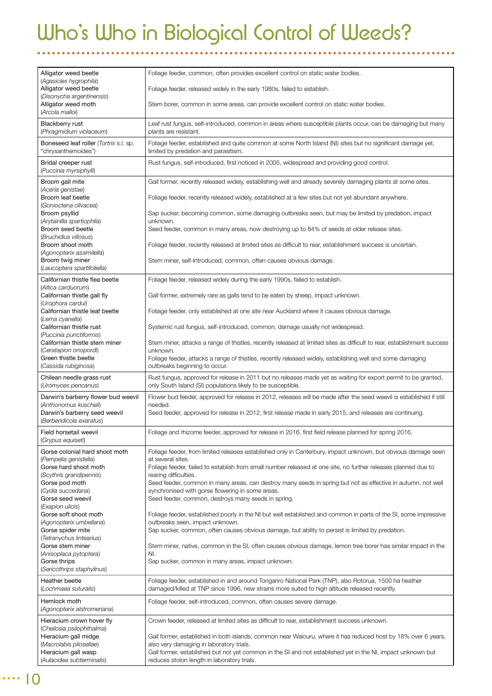# Who's Who in Biological Control of Weeds?

| Alligator weed beetle<br>(Agasicles hygrophila)                                    | Foliage feeder, common, often provides excellent control on static water bodies.                                                                                                                        |
|------------------------------------------------------------------------------------|---------------------------------------------------------------------------------------------------------------------------------------------------------------------------------------------------------|
| Alligator weed beetle<br>(Disonycha argentinensis)                                 | Foliage feeder, released widely in the early 1980s, failed to establish.                                                                                                                                |
| Alligator weed moth<br>(Arcola malloi)                                             | Stem borer, common in some areas, can provide excellent control on static water bodies.                                                                                                                 |
| Blackberry rust<br>(Phragmidium violaceum)                                         | Leaf rust fungus, self-introduced, common in areas where susceptible plants occur, can be damaging but many<br>plants are resistant.                                                                    |
| Boneseed leaf roller (Tortrix s.l. sp.<br>"chrysanthemoides")                      | Foliage feeder, established and quite common at some North Island (NI) sites but no significant damage yet,<br>limited by predation and parasitism.                                                     |
| Bridal creeper rust<br>(Puccinia myrsiphylli)                                      | Rust fungus, self-introduced, first noticed in 2005, widespread and providing good control.                                                                                                             |
| Broom gall mite<br>(Aceria genistae)                                               | Gall former, recently released widely, establishing well and already severely damaging plants at some sites.                                                                                            |
| Broom leaf beetle<br>(Gonioctena olivacea)                                         | Foliage feeder, recently released widely, established at a few sites but not yet abundant anywhere.                                                                                                     |
| Broom psyllid<br>(Arytainilla spartiophila)                                        | Sap sucker, becoming common, some damaging outbreaks seen, but may be limited by predation, impact<br>unknown.                                                                                          |
| Broom seed beetle<br>(Bruchidius villosus)                                         | Seed feeder, common in many areas, now destroying up to 84% of seeds at older release sites.                                                                                                            |
| Broom shoot moth<br>(Agonopterix assimilella)                                      | Foliage feeder, recently released at limited sites as difficult to rear, establishment success is uncertain.                                                                                            |
| Broom twig miner<br>(Leucoptera spartifoliella)                                    | Stem miner, self-introduced, common, often causes obvious damage.                                                                                                                                       |
| Californian thistle flea beetle<br>(Altica carduorum)                              | Foliage feeder, released widely during the early 1990s, failed to establish.                                                                                                                            |
| Californian thistle gall fly<br>(Urophora cardui)                                  | Gall former, extremely rare as galls tend to be eaten by sheep, impact unknown.                                                                                                                         |
| Californian thistle leaf beetle<br>(Lema cyanella)                                 | Foliage feeder, only established at one site near Auckland where it causes obvious damage.                                                                                                              |
| Californian thistle rust<br>(Puccinia punctiformis)                                | Systemic rust fungus, self-introduced, common, damage usually not widespread.                                                                                                                           |
| Californian thistle stem miner<br>(Ceratapion onopordi)                            | Stem miner, attacks a range of thistles, recently released at limited sites as difficult to rear, establishment success<br>unknown.                                                                     |
| Green thistle beetle<br>(Cassida rubiginosa)                                       | Foliage feeder, attacks a range of thistles, recently released widely, establishing well and some damaging<br>outbreaks beginning to occur.                                                             |
| Chilean needle grass rust<br>(Uromyces pencanus)                                   | Rust fungus, approved for release in 2011 but no releases made yet as waiting for export permit to be granted,<br>only South Island (SI) populations likely to be susceptible.                          |
| Darwin's barberry flower bud weevil                                                | Flower bud feeder, approved for release in 2012, releases will be made after the seed weevil is established if still                                                                                    |
| (Anthonomus kuscheli)<br>Darwin's barberry seed weevil<br>(Berberidicola exaratus) | needed.<br>Seed feeder, approved for release in 2012, first release made in early 2015, and releases are continuing.                                                                                    |
| Field horsetail weevil<br>(Grypus equiseti)                                        | Foliage and rhizome feeder, approved for release in 2016, first field release planned for spring 2016.                                                                                                  |
| Gorse colonial hard shoot moth<br>(Pempelia genistella)                            | Foliage feeder, from limited releases established only in Canterbury, impact unknown, but obvious damage seen<br>at several sites.                                                                      |
| Gorse hard shoot moth<br>(Scythris grandipennis)                                   | Foliage feeder, failed to establish from small number released at one site, no further releases planned due to<br>rearing difficulties.                                                                 |
| Gorse pod moth<br>(Cydia succedana)                                                | Seed feeder, common in many areas, can destroy many seeds in spring but not as effective in autumn, not well<br>synchronised with gorse flowering in some areas.                                        |
| Gorse seed weevil<br>(Exapion ulicis)                                              | Seed feeder, common, destroys many seeds in spring.                                                                                                                                                     |
| Gorse soft shoot moth<br>(Agonopterix umbellana)                                   | Foliage feeder, established poorly in the NI but well established and common in parts of the SI, some impressive<br>outbreaks seen, impact unknown.                                                     |
| Gorse spider mite<br>(Tetranychus lintearius)                                      | Sap sucker, common, often causes obvious damage, but ability to persist is limited by predation.                                                                                                        |
| Gorse stem miner<br>(Anisoplaca pytoptera)                                         | Stem miner, native, common in the SI, often causes obvious damage, lemon tree borer has similar impact in the<br>NI.                                                                                    |
| Gorse thrips<br>(Sericothrips staphylinus)                                         | Sap sucker, common in many areas, impact unknown.                                                                                                                                                       |
| Heather beetle<br>(Lochmaea suturalis)                                             | Foliage feeder, established in and around Tongariro National Park (TNP), also Rotorua, 1500 ha heather<br>damaged/killed at TNP since 1996, new strains more suited to high altitude released recently. |
| Hemlock moth<br>(Agonopterix alstromeriana)                                        | Foliage feeder, self-introduced, common, often causes severe damage.                                                                                                                                    |
| Hieracium crown hover fly                                                          | Crown feeder, released at limited sites as difficult to rear, establishment success unknown.                                                                                                            |
| (Cheilosia psilophthalma)<br>Hieracium gall midge                                  | Gall former, established in both islands, common near Waiouru, where it has reduced host by 18% over 6 years,                                                                                           |
| (Macrolabis pilosellae)<br>Hieracium gall wasp                                     | also very damaging in laboratory trials.<br>Gall former, established but not yet common in the SI and not established yet in the NI, impact unknown but                                                 |
| (Aulacidea subterminalis)                                                          | reduces stolon length in laboratory trials.                                                                                                                                                             |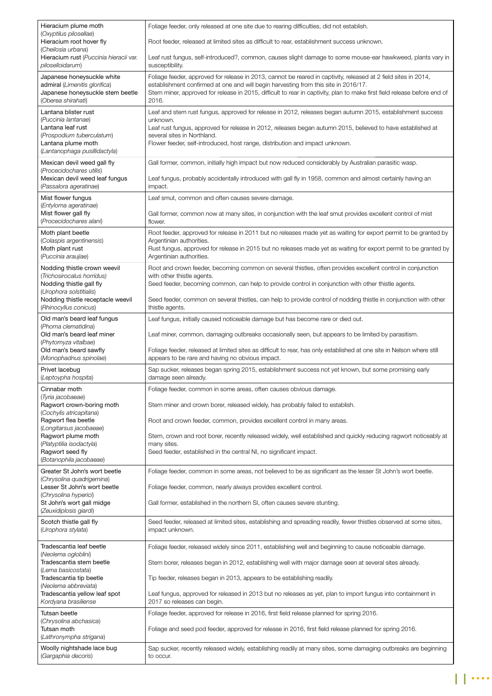| Hieracium plume moth                                                          | Foliage feeder, only released at one site due to rearing difficulties, did not establish.                                                                                                              |
|-------------------------------------------------------------------------------|--------------------------------------------------------------------------------------------------------------------------------------------------------------------------------------------------------|
| (Oxyptilus pilosellae)<br>Hieracium root hover fly<br>(Cheilosia urbana)      | Root feeder, released at limited sites as difficult to rear, establishment success unknown.                                                                                                            |
| Hieracium rust (Puccinia hieracii var.<br>piloselloidarum)                    | Leaf rust fungus, self-introduced?, common, causes slight damage to some mouse-ear hawkweed, plants vary in<br>susceptibility.                                                                         |
| Japanese honeysuckle white<br>admiral (Limenitis glorifica)                   | Foliage feeder, approved for release in 2013, cannot be reared in captivity, released at 2 field sites in 2014,<br>establishment confirmed at one and will begin harvesting from this site in 2016/17. |
| Japanese honeysuckle stem beetle<br>(Oberea shirahati)                        | Stem miner, approved for release in 2015, difficult to rear in captivity, plan to make first field release before end of<br>2016.                                                                      |
| Lantana blister rust                                                          | Leaf and stem rust fungus, approved for release in 2012, releases began autumn 2015, establishment success                                                                                             |
| (Puccinia lantanae)<br>Lantana leaf rust                                      | unknown.<br>Leaf rust fungus, approved for release in 2012, releases began autumn 2015, believed to have established at                                                                                |
| (Prospodium tuberculatum)<br>Lantana plume moth                               | several sites in Northland.<br>Flower feeder, self-introduced, host range, distribution and impact unknown.                                                                                            |
| (Lantanophaga pusillidactyla)                                                 |                                                                                                                                                                                                        |
| Mexican devil weed gall fly<br>(Procecidochares utilis)                       | Gall former, common, initially high impact but now reduced considerably by Australian parasitic wasp.                                                                                                  |
| Mexican devil weed leaf fungus<br>(Passalora ageratinae)                      | Leaf fungus, probably accidentally introduced with gall fly in 1958, common and almost certainly having an<br>impact.                                                                                  |
| Mist flower fungus                                                            | Leaf smut, common and often causes severe damage.                                                                                                                                                      |
| (Entyloma ageratinae)<br>Mist flower gall fly                                 | Gall former, common now at many sites, in conjunction with the leaf smut provides excellent control of mist                                                                                            |
| (Procecidochares alani)                                                       | flower.                                                                                                                                                                                                |
| Moth plant beetle<br>(Colaspis argentinensis)                                 | Root feeder, approved for release in 2011 but no releases made yet as waiting for export permit to be granted by<br>Argentinian authorities.                                                           |
| Moth plant rust                                                               | Rust fungus, approved for release in 2015 but no releases made yet as waiting for export permit to be granted by                                                                                       |
| (Puccinia araujiae)                                                           | Argentinian authorities.                                                                                                                                                                               |
| Nodding thistle crown weevil<br>(Trichosirocalus horridus)                    | Root and crown feeder, becoming common on several thistles, often provides excellent control in conjunction<br>with other thistle agents.                                                              |
| Nodding thistle gall fly<br>(Urophora solstitialis)                           | Seed feeder, becoming common, can help to provide control in conjunction with other thistle agents.                                                                                                    |
| Nodding thistle receptacle weevil<br>(Rhinocyllus conicus)                    | Seed feeder, common on several thistles, can help to provide control of nodding thistle in conjunction with other<br>thistle agents.                                                                   |
| Old man's beard leaf fungus                                                   | Leaf fungus, initially caused noticeable damage but has become rare or died out.                                                                                                                       |
| (Phoma clematidina)<br>Old man's beard leaf miner                             | Leaf miner, common, damaging outbreaks occasionally seen, but appears to be limited by parasitism.                                                                                                     |
| (Phytomyza vitalbae)<br>Old man's beard sawfly                                | Foliage feeder, released at limited sites as difficult to rear, has only established at one site in Nelson where still                                                                                 |
| (Monophadnus spinolae)                                                        | appears to be rare and having no obvious impact.                                                                                                                                                       |
| Privet lacebug<br>(Leptoypha hospita)                                         | Sap sucker, releases began spring 2015, establishment success not yet known, but some promising early<br>damage seen already.                                                                          |
| Cinnabar moth<br>(Tyria jacobaeae)                                            | Foliage feeder, common in some areas, often causes obvious damage.                                                                                                                                     |
| Ragwort crown-boring moth<br>(Cochylis atricapitana)                          | Stem miner and crown borer, released widely, has probably failed to establish.                                                                                                                         |
| Ragwort flea beetle<br>(Longitarsus jacobaeae)                                | Root and crown feeder, common, provides excellent control in many areas.                                                                                                                               |
| Ragwort plume moth                                                            | Stem, crown and root borer, recently released widely, well established and quickly reducing ragwort noticeably at                                                                                      |
| (Platyptilia isodactyla)<br>Ragwort seed fly                                  | many sites.<br>Seed feeder, established in the central NI, no significant impact.                                                                                                                      |
| (Botanophila jacobaeae)                                                       |                                                                                                                                                                                                        |
| Greater St John's wort beetle<br>(Chrysolina quadrigemina)                    | Foliage feeder, common in some areas, not believed to be as significant as the lesser St John's wort beetle.                                                                                           |
| Lesser St John's wort beetle<br>(Chrysolina hyperici)                         | Foliage feeder, common, nearly always provides excellent control.                                                                                                                                      |
| St John's wort gall midge<br>(Zeuxidiplosis giardi)                           | Gall former, established in the northern SI, often causes severe stunting.                                                                                                                             |
| Scotch thistle gall fly<br>(Urophora stylata)                                 | Seed feeder, released at limited sites, establishing and spreading readily, fewer thistles observed at some sites,<br>impact unknown.                                                                  |
| Tradescantia leaf beetle                                                      | Foliage feeder, released widely since 2011, establishing well and beginning to cause noticeable damage.                                                                                                |
| (Neolema ogloblini)<br>Tradescantia stem beetle                               | Stem borer, releases began in 2012, establishing well with major damage seen at several sites already.                                                                                                 |
| (Lema basicostata)<br>Tradescantia tip beetle                                 | Tip feeder, releases began in 2013, appears to be establishing readily.                                                                                                                                |
| (Neolema abbreviata)<br>Tradescantia yellow leaf spot<br>Kordyana brasiliense | Leaf fungus, approved for released in 2013 but no releases as yet, plan to import fungus into containment in<br>2017 so releases can begin.                                                            |
| Tutsan beetle                                                                 | Foliage feeder, approved for release in 2016, first field release planned for spring 2016.                                                                                                             |
| (Chrysolina abchasica)<br>Tutsan moth<br>(Lathronympha strigana)              | Foliage and seed pod feeder, approved for release in 2016, first field release planned for spring 2016.                                                                                                |
| Woolly nightshade lace bug<br>(Gargaphia decoris)                             | Sap sucker, recently released widely, establishing readily at many sites, some damaging outbreaks are beginning<br>to occur.                                                                           |
|                                                                               |                                                                                                                                                                                                        |

 $\prod$  ...